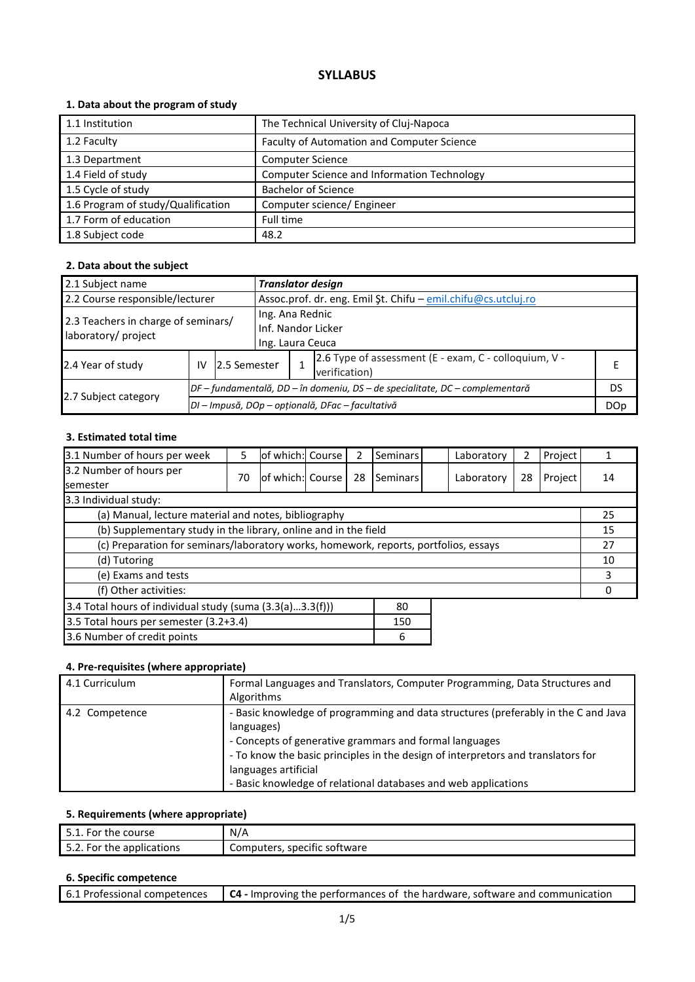# **SYLLABUS**

## **1. Data about the program of study**

| 1.1 Institution                    | The Technical University of Cluj-Napoca            |
|------------------------------------|----------------------------------------------------|
| 1.2 Faculty                        | Faculty of Automation and Computer Science         |
| 1.3 Department                     | <b>Computer Science</b>                            |
| 1.4 Field of study                 | <b>Computer Science and Information Technology</b> |
| 1.5 Cycle of study                 | <b>Bachelor of Science</b>                         |
| 1.6 Program of study/Qualification | Computer science/ Engineer                         |
| 1.7 Form of education              | Full time                                          |
| 1.8 Subject code                   | 48.2                                               |

## **2. Data about the subject**

| 2.1 Subject name                                           | <b>Translator design</b> |                                                                              |                                                               |  |                                                                        |  |  |  |
|------------------------------------------------------------|--------------------------|------------------------------------------------------------------------------|---------------------------------------------------------------|--|------------------------------------------------------------------------|--|--|--|
| 2.2 Course responsible/lecturer                            |                          |                                                                              | Assoc.prof. dr. eng. Emil Şt. Chifu - emil.chifu@cs.utcluj.ro |  |                                                                        |  |  |  |
| 2.3 Teachers in charge of seminars/<br>laboratory/ project |                          |                                                                              | Ing. Ana Rednic<br>Inf. Nandor Licker<br>Ing. Laura Ceuca     |  |                                                                        |  |  |  |
| 2.4 Year of study                                          | IV                       | 2.5 Semester                                                                 |                                                               |  | 2.6 Type of assessment (E - exam, C - colloquium, V -<br>verification) |  |  |  |
|                                                            |                          | DF – fundamentală, DD – în domeniu, DS – de specialitate, DC – complementară |                                                               |  |                                                                        |  |  |  |
| 2.7 Subject category                                       |                          | DI - Impusă, DOp - opțională, DFac - facultativă                             |                                                               |  |                                                                        |  |  |  |

## **3. Estimated total time**

| 3.1 Number of hours per week                                                         | 5  | of which: Course |  |    | Seminars | Laboratory | 2  | Project |    |
|--------------------------------------------------------------------------------------|----|------------------|--|----|----------|------------|----|---------|----|
| 3.2 Number of hours per                                                              | 70 | of which: Course |  | 28 | Seminars | Laboratory | 28 | Project | 14 |
| <b>semester</b>                                                                      |    |                  |  |    |          |            |    |         |    |
| 3.3 Individual study:                                                                |    |                  |  |    |          |            |    |         |    |
| (a) Manual, lecture material and notes, bibliography                                 |    |                  |  |    |          |            |    |         | 25 |
| (b) Supplementary study in the library, online and in the field                      |    |                  |  |    |          |            |    |         | 15 |
| (c) Preparation for seminars/laboratory works, homework, reports, portfolios, essays |    |                  |  |    |          | 27         |    |         |    |
| (d) Tutoring                                                                         |    |                  |  |    |          | 10         |    |         |    |
| (e) Exams and tests                                                                  |    |                  |  |    |          | 3          |    |         |    |
| (f) Other activities:                                                                |    |                  |  |    |          |            |    |         |    |
| 3.4 Total hours of individual study (suma $(3.3(a)3.3(f)))$<br>80                    |    |                  |  |    |          |            |    |         |    |
| 3.5 Total hours per semester (3.2+3.4)<br>150                                        |    |                  |  |    |          |            |    |         |    |
| 3.6 Number of credit points<br>6                                                     |    |                  |  |    |          |            |    |         |    |

#### **4. Pre-requisites (where appropriate)**

| 4.1 Curriculum | Formal Languages and Translators, Computer Programming, Data Structures and<br>Algorithms                                                                                                                                                                                                                                                |
|----------------|------------------------------------------------------------------------------------------------------------------------------------------------------------------------------------------------------------------------------------------------------------------------------------------------------------------------------------------|
| 4.2 Competence | - Basic knowledge of programming and data structures (preferably in the C and Java<br>languages)<br>- Concepts of generative grammars and formal languages<br>- To know the basic principles in the design of interpretors and translators for<br>languages artificial<br>- Basic knowledge of relational databases and web applications |

# **5. Requirements (where appropriate)**

| 5.1. For the course       | N/A                          |
|---------------------------|------------------------------|
| 5.2. For the applications | Computers, specific software |

#### **6. Specific competence**

|  | 6.1 Professional competences $\begin{bmatrix} G_4 \end{bmatrix}$ - Improving the performances of the hardware, software and communication |
|--|-------------------------------------------------------------------------------------------------------------------------------------------|
|--|-------------------------------------------------------------------------------------------------------------------------------------------|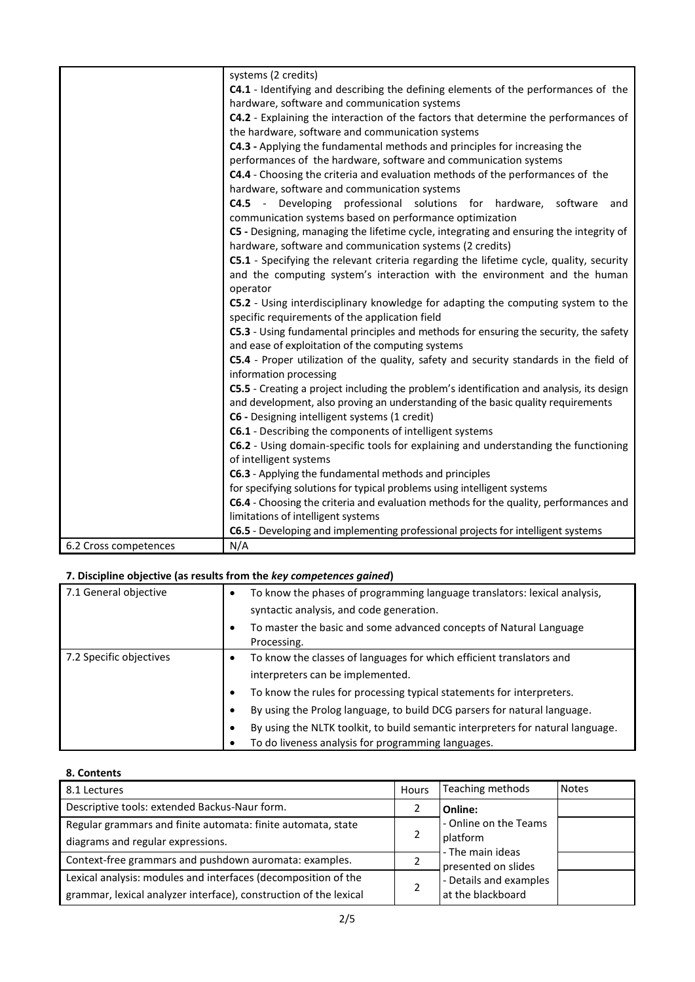|                       | systems (2 credits)                                                                                               |
|-----------------------|-------------------------------------------------------------------------------------------------------------------|
|                       | C4.1 - Identifying and describing the defining elements of the performances of the                                |
|                       | hardware, software and communication systems                                                                      |
|                       | C4.2 - Explaining the interaction of the factors that determine the performances of                               |
|                       | the hardware, software and communication systems                                                                  |
|                       | C4.3 - Applying the fundamental methods and principles for increasing the                                         |
|                       | performances of the hardware, software and communication systems                                                  |
|                       | C4.4 - Choosing the criteria and evaluation methods of the performances of the                                    |
|                       | hardware, software and communication systems                                                                      |
|                       | C4.5 - Developing professional solutions for hardware, software<br>and                                            |
|                       | communication systems based on performance optimization                                                           |
|                       | C5 - Designing, managing the lifetime cycle, integrating and ensuring the integrity of                            |
|                       | hardware, software and communication systems (2 credits)                                                          |
|                       | C5.1 - Specifying the relevant criteria regarding the lifetime cycle, quality, security                           |
|                       | and the computing system's interaction with the environment and the human                                         |
|                       | operator                                                                                                          |
|                       | C5.2 - Using interdisciplinary knowledge for adapting the computing system to the                                 |
|                       | specific requirements of the application field                                                                    |
|                       | C5.3 - Using fundamental principles and methods for ensuring the security, the safety                             |
|                       | and ease of exploitation of the computing systems                                                                 |
|                       | C5.4 - Proper utilization of the quality, safety and security standards in the field of<br>information processing |
|                       | C5.5 - Creating a project including the problem's identification and analysis, its design                         |
|                       | and development, also proving an understanding of the basic quality requirements                                  |
|                       | C6 - Designing intelligent systems (1 credit)                                                                     |
|                       | C6.1 - Describing the components of intelligent systems                                                           |
|                       | C6.2 - Using domain-specific tools for explaining and understanding the functioning                               |
|                       | of intelligent systems                                                                                            |
|                       | C6.3 - Applying the fundamental methods and principles                                                            |
|                       | for specifying solutions for typical problems using intelligent systems                                           |
|                       | C6.4 - Choosing the criteria and evaluation methods for the quality, performances and                             |
|                       | limitations of intelligent systems                                                                                |
|                       | C6.5 - Developing and implementing professional projects for intelligent systems                                  |
| 6.2 Cross competences | N/A                                                                                                               |

# **7. Discipline objective (as results from the** *key competences gained***)**

| 7.1 General objective   | $\bullet$ | To know the phases of programming language translators: lexical analysis,<br>syntactic analysis, and code generation. |  |  |  |
|-------------------------|-----------|-----------------------------------------------------------------------------------------------------------------------|--|--|--|
|                         | $\bullet$ | To master the basic and some advanced concepts of Natural Language<br>Processing.                                     |  |  |  |
| 7.2 Specific objectives | $\bullet$ | To know the classes of languages for which efficient translators and                                                  |  |  |  |
|                         |           | interpreters can be implemented.                                                                                      |  |  |  |
|                         | ٠         | To know the rules for processing typical statements for interpreters.                                                 |  |  |  |
|                         | ٠         | By using the Prolog language, to build DCG parsers for natural language.                                              |  |  |  |
|                         | $\bullet$ | By using the NLTK toolkit, to build semantic interpreters for natural language.                                       |  |  |  |
|                         | ٠         | To do liveness analysis for programming languages.                                                                    |  |  |  |

# **8. Contents**

| 8.1 Lectures                                                      | Hours | Teaching methods             | <b>Notes</b> |
|-------------------------------------------------------------------|-------|------------------------------|--------------|
| Descriptive tools: extended Backus-Naur form.                     |       | Online:                      |              |
| Regular grammars and finite automata: finite automata, state      |       | - Online on the Teams        |              |
| diagrams and regular expressions.                                 | 2     | platform<br>- The main ideas |              |
| Context-free grammars and pushdown auromata: examples.            |       | presented on slides          |              |
| Lexical analysis: modules and interfaces (decomposition of the    |       | - Details and examples       |              |
| grammar, lexical analyzer interface), construction of the lexical |       | at the blackboard            |              |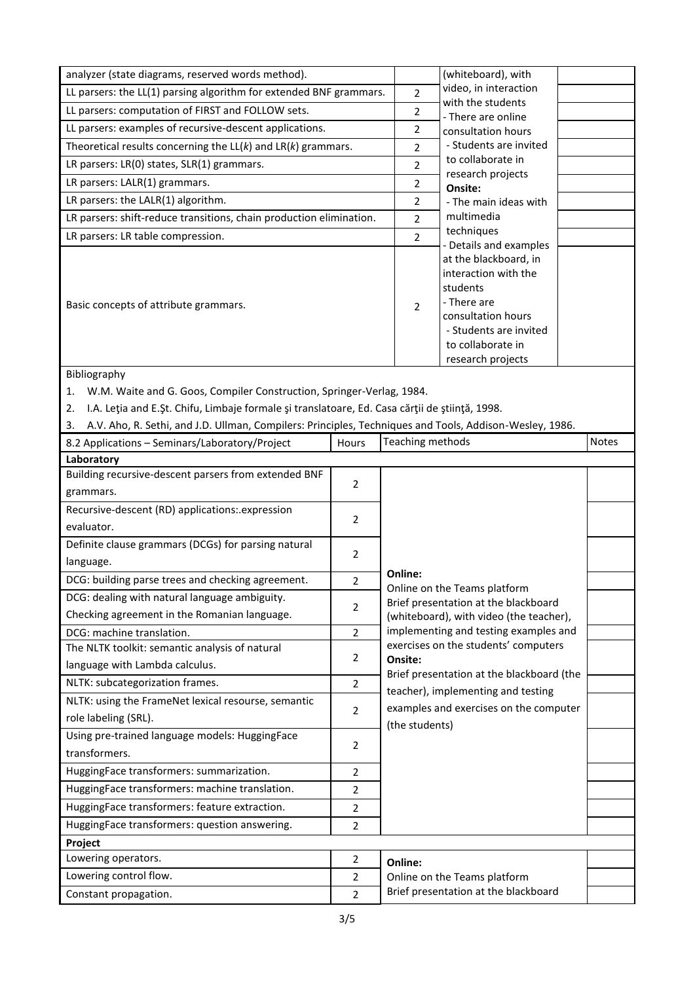| analyzer (state diagrams, reserved words method).                                                             |                                  | (whiteboard), with                      |                                                                                  |              |
|---------------------------------------------------------------------------------------------------------------|----------------------------------|-----------------------------------------|----------------------------------------------------------------------------------|--------------|
| LL parsers: the LL(1) parsing algorithm for extended BNF grammars.                                            | $\overline{2}$                   | video, in interaction                   |                                                                                  |              |
| LL parsers: computation of FIRST and FOLLOW sets.                                                             | $\overline{2}$                   | with the students<br>- There are online |                                                                                  |              |
| LL parsers: examples of recursive-descent applications.                                                       | $\overline{2}$                   | consultation hours                      |                                                                                  |              |
| Theoretical results concerning the $LL(k)$ and $LR(k)$ grammars.                                              |                                  | $\overline{2}$                          | - Students are invited                                                           |              |
| LR parsers: LR(0) states, SLR(1) grammars.                                                                    |                                  | $\overline{2}$                          | to collaborate in                                                                |              |
| LR parsers: LALR(1) grammars.                                                                                 |                                  | $\overline{2}$                          | research projects                                                                |              |
| LR parsers: the LALR(1) algorithm.                                                                            |                                  | $\overline{2}$                          | Onsite:<br>- The main ideas with                                                 |              |
| LR parsers: shift-reduce transitions, chain production elimination.                                           |                                  | $\overline{2}$                          | multimedia                                                                       |              |
| LR parsers: LR table compression.                                                                             |                                  | $\overline{2}$                          | techniques                                                                       |              |
|                                                                                                               |                                  |                                         | - Details and examples                                                           |              |
|                                                                                                               |                                  |                                         | at the blackboard, in<br>interaction with the                                    |              |
|                                                                                                               |                                  |                                         | students                                                                         |              |
| Basic concepts of attribute grammars.                                                                         |                                  | $\overline{2}$                          | - There are                                                                      |              |
|                                                                                                               |                                  |                                         | consultation hours                                                               |              |
|                                                                                                               |                                  |                                         | - Students are invited                                                           |              |
|                                                                                                               |                                  |                                         | to collaborate in                                                                |              |
| Bibliography                                                                                                  |                                  |                                         | research projects                                                                |              |
| W.M. Waite and G. Goos, Compiler Construction, Springer-Verlag, 1984.<br>1.                                   |                                  |                                         |                                                                                  |              |
| I.A. Leția and E.Șt. Chifu, Limbaje formale și translatoare, Ed. Casa cărții de știință, 1998.                |                                  |                                         |                                                                                  |              |
| 2.                                                                                                            |                                  |                                         |                                                                                  |              |
| A.V. Aho, R. Sethi, and J.D. Ullman, Compilers: Principles, Techniques and Tools, Addison-Wesley, 1986.<br>3. | Hours                            | Teaching methods                        |                                                                                  | <b>Notes</b> |
| 8.2 Applications - Seminars/Laboratory/Project<br>Laboratory                                                  |                                  |                                         |                                                                                  |              |
| Building recursive-descent parsers from extended BNF                                                          |                                  |                                         |                                                                                  |              |
| grammars.                                                                                                     | $\overline{2}$                   |                                         |                                                                                  |              |
| Recursive-descent (RD) applications: expression                                                               |                                  |                                         |                                                                                  |              |
| evaluator.                                                                                                    | 2                                |                                         |                                                                                  |              |
| Definite clause grammars (DCGs) for parsing natural                                                           |                                  |                                         |                                                                                  |              |
| language.                                                                                                     | $\overline{2}$                   |                                         |                                                                                  |              |
| DCG: building parse trees and checking agreement.                                                             | $\overline{2}$                   | Online:                                 |                                                                                  |              |
| DCG: dealing with natural language ambiguity.                                                                 |                                  |                                         | Online on the Teams platform                                                     |              |
| Checking agreement in the Romanian language.                                                                  | $\overline{2}$                   |                                         | Brief presentation at the blackboard                                             |              |
| DCG: machine translation.                                                                                     | $\overline{2}$                   |                                         | (whiteboard), with video (the teacher),<br>implementing and testing examples and |              |
| The NLTK toolkit: semantic analysis of natural                                                                |                                  |                                         | exercises on the students' computers                                             |              |
| language with Lambda calculus.                                                                                | $\overline{2}$                   | Onsite:                                 |                                                                                  |              |
| NLTK: subcategorization frames.                                                                               | $\overline{2}$                   |                                         | Brief presentation at the blackboard (the                                        |              |
| NLTK: using the FrameNet lexical resourse, semantic                                                           |                                  |                                         | teacher), implementing and testing                                               |              |
| role labeling (SRL).                                                                                          | $\overline{2}$                   |                                         | examples and exercises on the computer                                           |              |
| Using pre-trained language models: HuggingFace                                                                |                                  | (the students)                          |                                                                                  |              |
| transformers.                                                                                                 | $\overline{2}$                   |                                         |                                                                                  |              |
| HuggingFace transformers: summarization.                                                                      | $\overline{2}$                   |                                         |                                                                                  |              |
| HuggingFace transformers: machine translation.                                                                | $\overline{2}$                   |                                         |                                                                                  |              |
| HuggingFace transformers: feature extraction.                                                                 | $\overline{2}$                   |                                         |                                                                                  |              |
| HuggingFace transformers: question answering.                                                                 | $\overline{2}$                   |                                         |                                                                                  |              |
|                                                                                                               |                                  |                                         |                                                                                  |              |
|                                                                                                               |                                  |                                         |                                                                                  |              |
| Project                                                                                                       |                                  |                                         |                                                                                  |              |
| Lowering operators.                                                                                           | $\overline{2}$                   | Online:                                 |                                                                                  |              |
| Lowering control flow.<br>Constant propagation.                                                               | $\overline{2}$<br>$\overline{2}$ |                                         | Online on the Teams platform<br>Brief presentation at the blackboard             |              |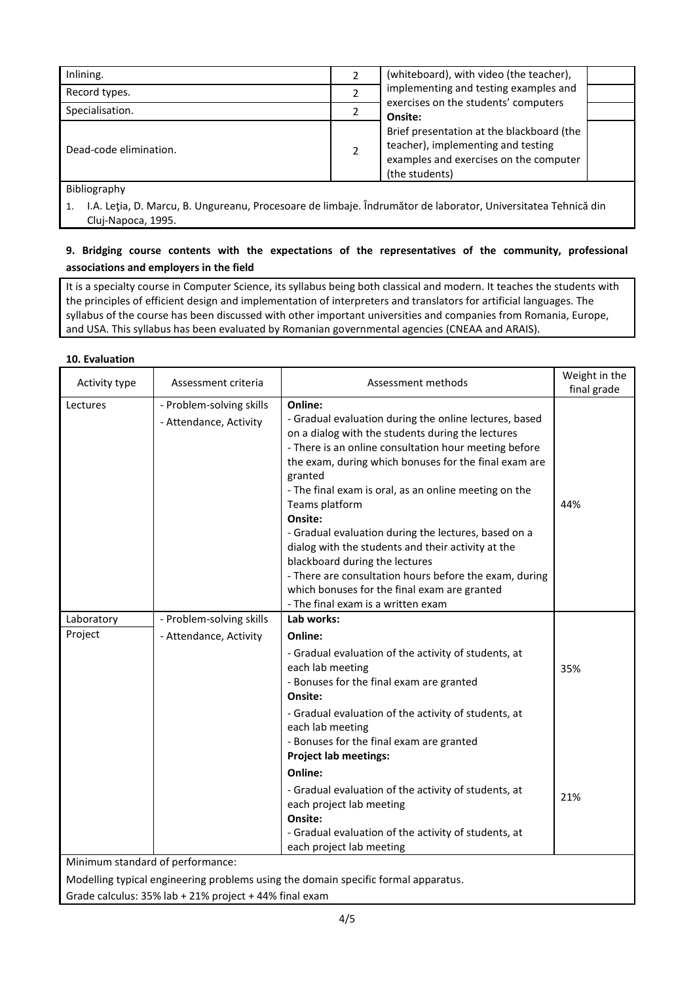| Inlining.              | (whiteboard), with video (the teacher),                                                                                                     |  |
|------------------------|---------------------------------------------------------------------------------------------------------------------------------------------|--|
| Record types.          | implementing and testing examples and                                                                                                       |  |
| Specialisation.        | exercises on the students' computers<br>Onsite:                                                                                             |  |
| Dead-code elimination. | Brief presentation at the blackboard (the<br>teacher), implementing and testing<br>examples and exercises on the computer<br>(the students) |  |
| <b>Bibliography</b>    |                                                                                                                                             |  |

Bibliography

1. I.A. Leţia, D. Marcu, B. Ungureanu, Procesoare de limbaje. Îndrumător de laborator, Universitatea Tehnică din Cluj-Napoca, 1995.

# **9. Bridging course contents with the expectations of the representatives of the community, professional associations and employers in the field**

It is a specialty course in Computer Science, its syllabus being both classical and modern. It teaches the students with the principles of efficient design and implementation of interpreters and translators for artificial languages. The syllabus of the course has been discussed with other important universities and companies from Romania, Europe, and USA. This syllabus has been evaluated by Romanian governmental agencies (CNEAA and ARAIS).

## **10. Evaluation**

| Activity type                    | Assessment criteria                                | Assessment methods                                                                                                                                                                                                                                                                                                                                                                                                                                                                                                                                                                                                                        | Weight in the |
|----------------------------------|----------------------------------------------------|-------------------------------------------------------------------------------------------------------------------------------------------------------------------------------------------------------------------------------------------------------------------------------------------------------------------------------------------------------------------------------------------------------------------------------------------------------------------------------------------------------------------------------------------------------------------------------------------------------------------------------------------|---------------|
|                                  |                                                    |                                                                                                                                                                                                                                                                                                                                                                                                                                                                                                                                                                                                                                           | final grade   |
| Lectures                         | - Problem-solving skills<br>- Attendance, Activity | Online:<br>- Gradual evaluation during the online lectures, based<br>on a dialog with the students during the lectures<br>- There is an online consultation hour meeting before<br>the exam, during which bonuses for the final exam are<br>granted<br>- The final exam is oral, as an online meeting on the<br>Teams platform<br>Onsite:<br>- Gradual evaluation during the lectures, based on a<br>dialog with the students and their activity at the<br>blackboard during the lectures<br>- There are consultation hours before the exam, during<br>which bonuses for the final exam are granted<br>- The final exam is a written exam | 44%           |
| Laboratory                       | - Problem-solving skills                           | Lab works:                                                                                                                                                                                                                                                                                                                                                                                                                                                                                                                                                                                                                                |               |
| Project                          | - Attendance, Activity                             | Online:<br>- Gradual evaluation of the activity of students, at<br>each lab meeting<br>- Bonuses for the final exam are granted<br>Onsite:                                                                                                                                                                                                                                                                                                                                                                                                                                                                                                | 35%           |
| Minimum standard of performance: |                                                    | - Gradual evaluation of the activity of students, at<br>each lab meeting<br>- Bonuses for the final exam are granted<br><b>Project lab meetings:</b><br>Online:<br>- Gradual evaluation of the activity of students, at<br>each project lab meeting<br>Onsite:<br>- Gradual evaluation of the activity of students, at<br>each project lab meeting                                                                                                                                                                                                                                                                                        | 21%           |
|                                  |                                                    | Madelling tunical engineering problems using the demain specific formal appeatus                                                                                                                                                                                                                                                                                                                                                                                                                                                                                                                                                          |               |

Modelling typical engineering problems using the domain specific formal apparatus.

Grade calculus: 35% lab + 21% project + 44% final exam